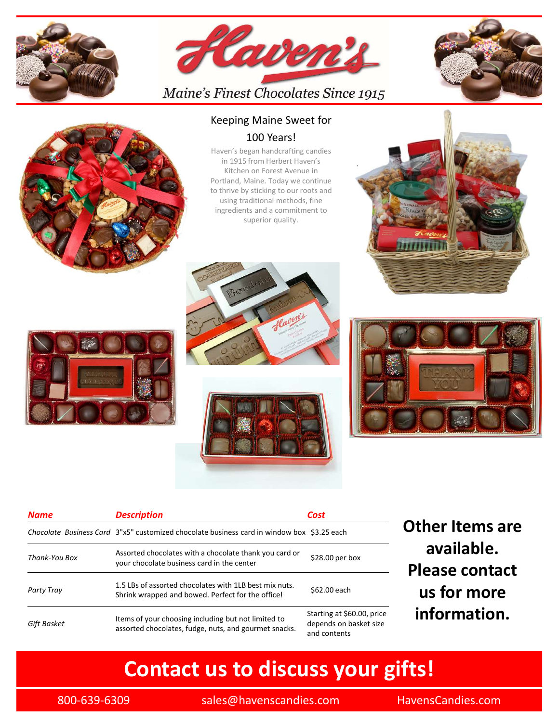







### Keeping Maine Sweet for 100 Years!

Haven's began handcrafting candies in 1915 from Herbert Haven's Kitchen on Forest Avenue in Portland, Maine. Today we continue to thrive by sticking to our roots and using traditional methods, fine ingredients and a commitment to superior quality.







| <b>Description</b><br><b>Cost</b><br><b>Name</b><br><b>Other Items are</b><br>Chocolate Business Card 3"x5" customized chocolate business card in window box \$3.25 each<br>available.<br>Assorted chocolates with a chocolate thank you card or<br>\$28.00 per box<br>Thank-You Box<br>your chocolate business card in the center<br><b>Please contact</b> |
|-------------------------------------------------------------------------------------------------------------------------------------------------------------------------------------------------------------------------------------------------------------------------------------------------------------------------------------------------------------|
|                                                                                                                                                                                                                                                                                                                                                             |
|                                                                                                                                                                                                                                                                                                                                                             |
|                                                                                                                                                                                                                                                                                                                                                             |
| 1.5 LBs of assorted chocolates with 1LB best mix nuts.<br>us for more<br>\$62.00 each<br>Party Tray<br>Shrink wrapped and bowed. Perfect for the office!                                                                                                                                                                                                    |
| information.<br>Starting at \$60.00, price<br>Items of your choosing including but not limited to<br>Gift Basket<br>depends on basket size<br>assorted chocolates, fudge, nuts, and gourmet snacks.<br>and contents                                                                                                                                         |
| <b>Contact us to discuss your gifts!</b>                                                                                                                                                                                                                                                                                                                    |
| 800-639-6309<br>sales@havenscandies.com<br>HavensCandies.com                                                                                                                                                                                                                                                                                                |
|                                                                                                                                                                                                                                                                                                                                                             |

# Contact us to discuss your gifts!